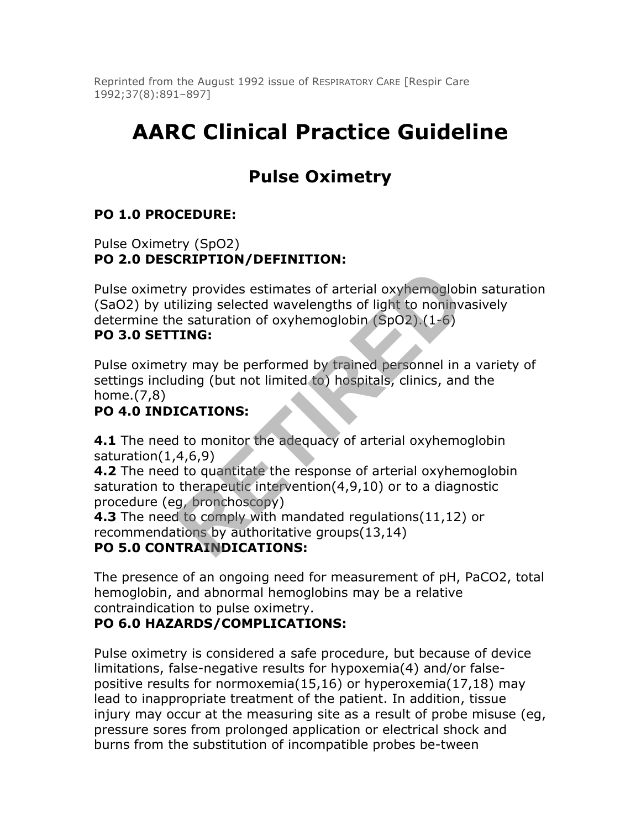Reprinted from the August 1992 issue of RESPIRATORY CARE [Respir Care 1992;37(8):891–897]

# **AARC Clinical Practice Guideline**

## **Pulse Oximetry**

### **PO 1.0 PROCEDURE:**

Pulse Oximetry (SpO2) **PO 2.0 DESCRIPTION/DEFINITION:**

Pulse oximetry provides estimates of arterial oxyhemoglobin saturation (SaO2) by utilizing selected wavelengths of light to noninvasively determine the saturation of oxyhemoglobin (SpO2).(1-6) ry provides estimates of arterial oxyhemoglob<br>illizing selected wavelengths of light to noninv<br>e saturation of oxyhemoglobin (SpO2).(1-6)<br>**FING:**<br>ry may be performed by trained personnel in iding (but not limited to) hospi

#### **PO 3.0 SETTING:**

Pulse oximetry may be performed by trained personnel in a variety of settings including (but not limited to) hospitals, clinics, and the home.(7,8)

#### **PO 4.0 INDICATIONS:**

**4.1** The need to monitor the adequacy of arterial oxyhemoglobin saturation(1,4,6,9)

**4.2** The need to quantitate the response of arterial oxyhemoglobin saturation to therapeutic intervention(4,9,10) or to a diagnostic procedure (eg, bronchoscopy)

**4.3** The need to comply with mandated regulations(11,12) or recommendations by authoritative groups(13,14)

#### **PO 5.0 CONTRAINDICATIONS:**

The presence of an ongoing need for measurement of pH, PaCO2, total hemoglobin, and abnormal hemoglobins may be a relative contraindication to pulse oximetry.

#### **PO 6.0 HAZARDS/COMPLICATIONS:**

Pulse oximetry is considered a safe procedure, but because of device limitations, false-negative results for hypoxemia(4) and/or falsepositive results for normoxemia(15,16) or hyperoxemia(17,18) may lead to inappropriate treatment of the patient. In addition, tissue injury may occur at the measuring site as a result of probe misuse (eg, pressure sores from prolonged application or electrical shock and burns from the substitution of incompatible probes be-tween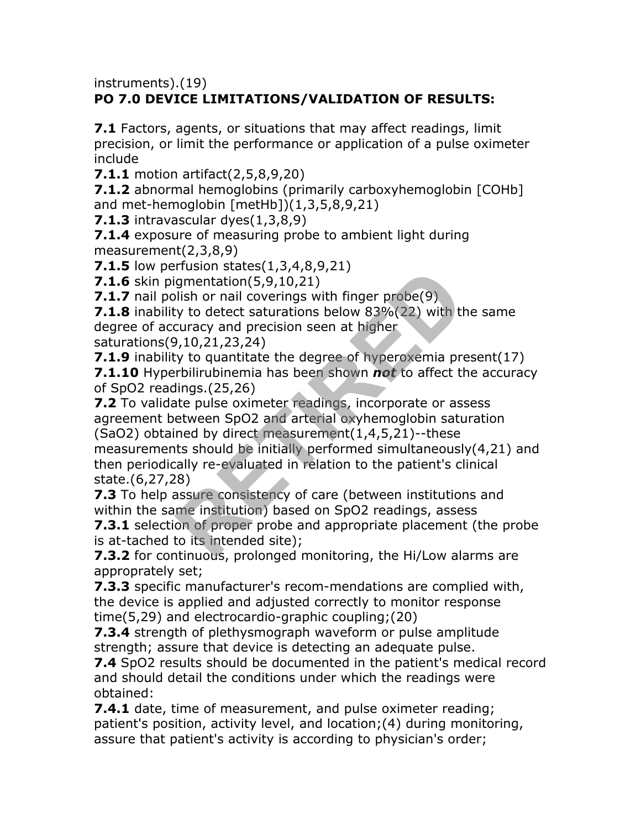instruments).(19)

## **PO 7.0 DEVICE LIMITATIONS/VALIDATION OF RESULTS:**

**7.1** Factors, agents, or situations that may affect readings, limit precision, or limit the performance or application of a pulse oximeter include

**7.1.1** motion artifact(2,5,8,9,20)

**7.1.2** abnormal hemoglobins (primarily carboxyhemoglobin [COHb] and met-hemoglobin [metHb])(1,3,5,8,9,21)

**7.1.3** intravascular dyes(1,3,8,9)

**7.1.4** exposure of measuring probe to ambient light during measurement(2,3,8,9)

**7.1.5** low perfusion states(1,3,4,8,9,21)

**7.1.6** skin pigmentation(5,9,10,21)

**7.1.7** nail polish or nail coverings with finger probe(9)

**7.1.8** inability to detect saturations below 83%(22) with the same degree of accuracy and precision seen at higher

saturations(9,10,21,23,24)

**7.1.9** inability to quantitate the degree of hyperoxemia present(17) **7.1.10** Hyperbilirubinemia has been shown *not* to affect the accuracy of SpO2 readings.(25,26)

**7.2** To validate pulse oximeter readings, incorporate or assess agreement between SpO2 and arterial oxyhemoglobin saturation (SaO2) obtained by direct measurement(1,4,5,21)--these measurements should be initially performed simultaneously(4,21) and Frasion states(1,9,4,0,21)<br>gmentation(5,9,10,21)<br>lish or nail coverings with finger probe(9)<br>curacy and precision seen at higher<br>2,10,21,23,24)<br>y to quantitate the degree of hyperoxemia pre-<br>rbilirubinemia has been shown

then periodically re-evaluated in relation to the patient's clinical state.(6,27,28)

**7.3** To help assure consistency of care (between institutions and within the same institution) based on SpO2 readings, assess

**7.3.1** selection of proper probe and appropriate placement (the probe is at-tached to its intended site);

**7.3.2** for continuous, prolonged monitoring, the Hi/Low alarms are approprately set;

**7.3.3** specific manufacturer's recom-mendations are complied with, the device is applied and adjusted correctly to monitor response time(5,29) and electrocardio-graphic coupling;(20)

**7.3.4** strength of plethysmograph waveform or pulse amplitude strength; assure that device is detecting an adequate pulse.

**7.4** SpO2 results should be documented in the patient's medical record and should detail the conditions under which the readings were obtained:

**7.4.1** date, time of measurement, and pulse oximeter reading; patient's position, activity level, and location;(4) during monitoring, assure that patient's activity is according to physician's order;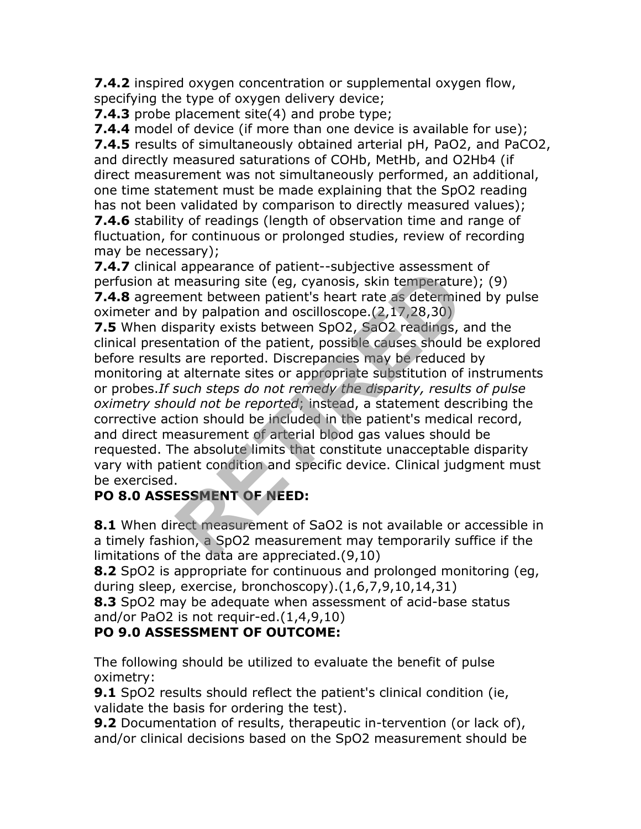**7.4.2** inspired oxygen concentration or supplemental oxygen flow, specifying the type of oxygen delivery device;

**7.4.3** probe placement site(4) and probe type;

**7.4.4** model of device (if more than one device is available for use); **7.4.5** results of simultaneously obtained arterial pH, PaO2, and PaCO2, and directly measured saturations of COHb, MetHb, and O2Hb4 (if direct measurement was not simultaneously performed, an additional, one time statement must be made explaining that the SpO2 reading has not been validated by comparison to directly measured values); **7.4.6** stability of readings (length of observation time and range of fluctuation, for continuous or prolonged studies, review of recording may be necessary);

**7.4.7** clinical appearance of patient--subjective assessment of perfusion at measuring site (eg, cyanosis, skin temperature); (9) **7.4.8** agreement between patient's heart rate as determined by pulse oximeter and by palpation and oscilloscope. $(2,17,28,30)$ 

**7.5** When disparity exists between SpO2, SaO2 readings, and the clinical presentation of the patient, possible causes should be explored before results are reported. Discrepancies may be reduced by monitoring at alternate sites or appropriate substitution of instruments or probes.*If such steps do not remedy the disparity, results of pulse oximetry should not be reported*; instead, a statement describing the corrective action should be included in the patient's medical record, and direct measurement of arterial blood gas values should be requested. The absolute limits that constitute unacceptable disparity vary with patient condition and specific device. Clinical judgment must be exercised. repearance or patient subjective assessment<br>measuring site (eg, cyanosis, skin temperatur<br>ment between patient's heart rate as determin<br>thy palpation and oscilloscope.(2,17,28,30)<br>sparity exists between SpO2, SaO2 readings

### **PO 8.0 ASSESSMENT OF NEED:**

**8.1** When direct measurement of SaO2 is not available or accessible in a timely fashion, a SpO2 measurement may temporarily suffice if the limitations of the data are appreciated.(9,10)

**8.2** SpO2 is appropriate for continuous and prolonged monitoring (eg, during sleep, exercise, bronchoscopy).(1,6,7,9,10,14,31)

**8.3** SpO2 may be adequate when assessment of acid-base status and/or PaO2 is not requir-ed.(1,4,9,10)

### **PO 9.0 ASSESSMENT OF OUTCOME:**

The following should be utilized to evaluate the benefit of pulse oximetry:

**9.1** SpO2 results should reflect the patient's clinical condition (ie, validate the basis for ordering the test).

**9.2** Documentation of results, therapeutic in-tervention (or lack of), and/or clinical decisions based on the SpO2 measurement should be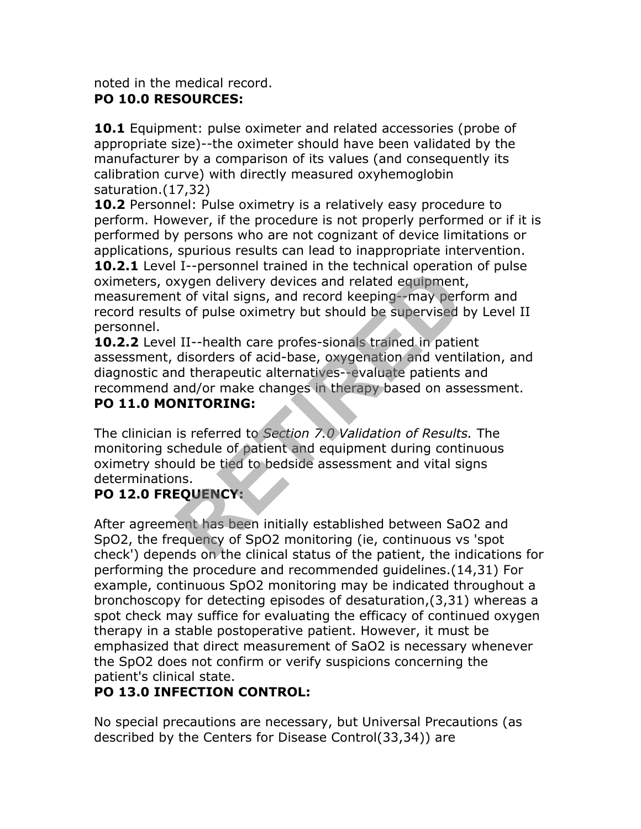#### noted in the medical record. **PO 10.0 RESOURCES:**

**10.1** Equipment: pulse oximeter and related accessories (probe of appropriate size)--the oximeter should have been validated by the manufacturer by a comparison of its values (and consequently its calibration curve) with directly measured oxyhemoglobin saturation.(17,32)

**10.2** Personnel: Pulse oximetry is a relatively easy procedure to perform. However, if the procedure is not properly performed or if it is performed by persons who are not cognizant of device limitations or applications, spurious results can lead to inappropriate intervention.

**10.2.1** Level I--personnel trained in the technical operation of pulse oximeters, oxygen delivery devices and related equipment, measurement of vital signs, and record keeping--may perform and record results of pulse oximetry but should be supervised by Level II personnel.

**10.2.2** Level II--health care profes-sionals trained in patient assessment, disorders of acid-base, oxygenation and ventilation, and diagnostic and therapeutic alternatives--evaluate patients and recommend and/or make changes in therapy based on assessment. **Example 1** Personner trained in the econometric operator exygen delivery devices and related equipment<br>t of vital signs, and record keeping--may perf<br>s of pulse oximetry but should be supervised l<br>HII-health care profes-s

#### **PO 11.0 MONITORING:**

The clinician is referred to *Section 7.0 Validation of Results.* The monitoring schedule of patient and equipment during continuous oximetry should be tied to bedside assessment and vital signs determinations.

### **PO 12.0 FREQUENCY:**

After agreement has been initially established between SaO2 and SpO2, the frequency of SpO2 monitoring (ie, continuous vs 'spot check') depends on the clinical status of the patient, the indications for performing the procedure and recommended guidelines.(14,31) For example, continuous SpO2 monitoring may be indicated throughout a bronchoscopy for detecting episodes of desaturation,(3,31) whereas a spot check may suffice for evaluating the efficacy of continued oxygen therapy in a stable postoperative patient. However, it must be emphasized that direct measurement of SaO2 is necessary whenever the SpO2 does not confirm or verify suspicions concerning the patient's clinical state.

## **PO 13.0 INFECTION CONTROL:**

No special precautions are necessary, but Universal Precautions (as described by the Centers for Disease Control(33,34)) are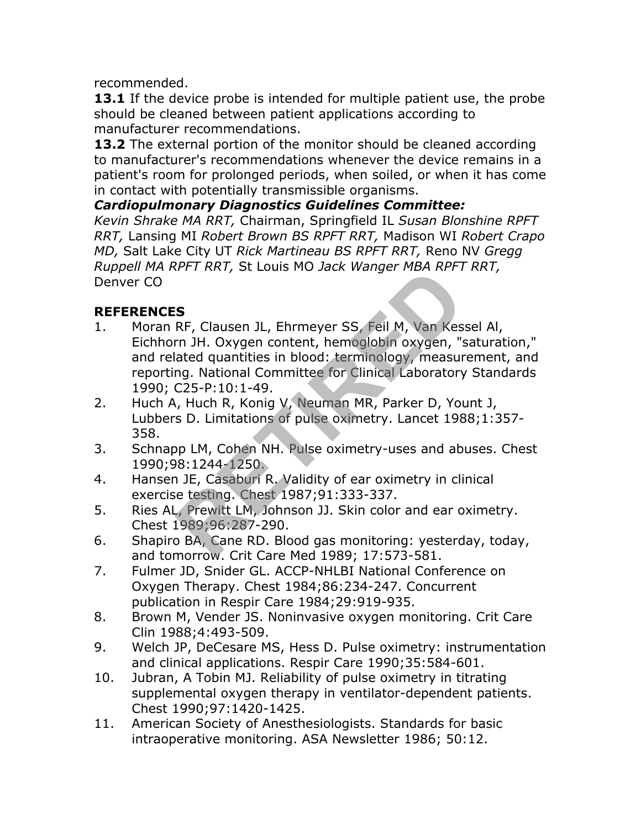recommended.

**13.1** If the device probe is intended for multiple patient use, the probe should be cleaned between patient applications according to manufacturer recommendations.

**13.2** The external portion of the monitor should be cleaned according to manufacturer's recommendations whenever the device remains in a patient's room for prolonged periods, when soiled, or when it has come in contact with potentially transmissible organisms.

#### *Cardiopulmonary Diagnostics Guidelines Committee:*

*Kevin Shrake MA RRT,* Chairman, Springfield IL *Susan Blonshine RPFT RRT,* Lansing MI *Robert Brown BS RPFT RRT,* Madison WI *Robert Crapo MD,* Salt Lake City UT *Rick Martineau BS RPFT RRT,* Reno NV *Gregg Ruppell MA RPFT RRT,* St Louis MO *Jack Wanger MBA RPFT RRT,* Denver CO

#### **REFERENCES**

- 1. Moran RF, Clausen JL, Ehrmeyer SS, Feil M, Van Kessel Al, Eichhorn JH. Oxygen content, hemoglobin oxygen, "saturation," and related quantities in blood: terminology, measurement, and reporting. National Committee for Clinical Laboratory Standards 1990; C25-P:10:1-49. **RETAINT, St Louis FID Jack Wanger FIDA NTT**<br> **RET**<br> **RET**<br> **RET**<br> **RET**<br> **RET**<br> **RET**<br> **RET**<br> **RET**<br> **RET**<br> **RET**<br> **RET**<br> **RET**<br> **RET**<br> **RET**<br> **RET**<br> **RET**<br> **RET**<br> **RET**<br> **RET**<br> **RET**<br> **RET**<br> **RETIRENT**<br> **RETEL INCE ANDE**
- 2. Huch A, Huch R, Konig V, Neuman MR, Parker D, Yount J, Lubbers D. Limitations of pulse oximetry. Lancet 1988;1:357- 358.
- 3. Schnapp LM, Cohen NH. Pulse oximetry-uses and abuses. Chest 1990;98:1244-1250.
- 4. Hansen JE, Casaburi R. Validity of ear oximetry in clinical exercise testing. Chest 1987;91:333-337.
- 5. Ries AL, Prewitt LM, Johnson JJ. Skin color and ear oximetry. Chest 1989;96:287-290.
- 6. Shapiro BA, Cane RD. Blood gas monitoring: yesterday, today, and tomorrow. Crit Care Med 1989; 17:573-581.
- 7. Fulmer JD, Snider GL. ACCP-NHLBI National Conference on Oxygen Therapy. Chest 1984;86:234-247. Concurrent publication in Respir Care 1984;29:919-935.
- 8. Brown M, Vender JS. Noninvasive oxygen monitoring. Crit Care Clin 1988;4:493-509.
- 9. Welch JP, DeCesare MS, Hess D. Pulse oximetry: instrumentation and clinical applications. Respir Care 1990;35:584-601.
- 10. Jubran, A Tobin MJ. Reliability of pulse oximetry in titrating supplemental oxygen therapy in ventilator-dependent patients. Chest 1990;97:1420-1425.
- 11. American Society of Anesthesiologists. Standards for basic intraoperative monitoring. ASA Newsletter 1986; 50:12.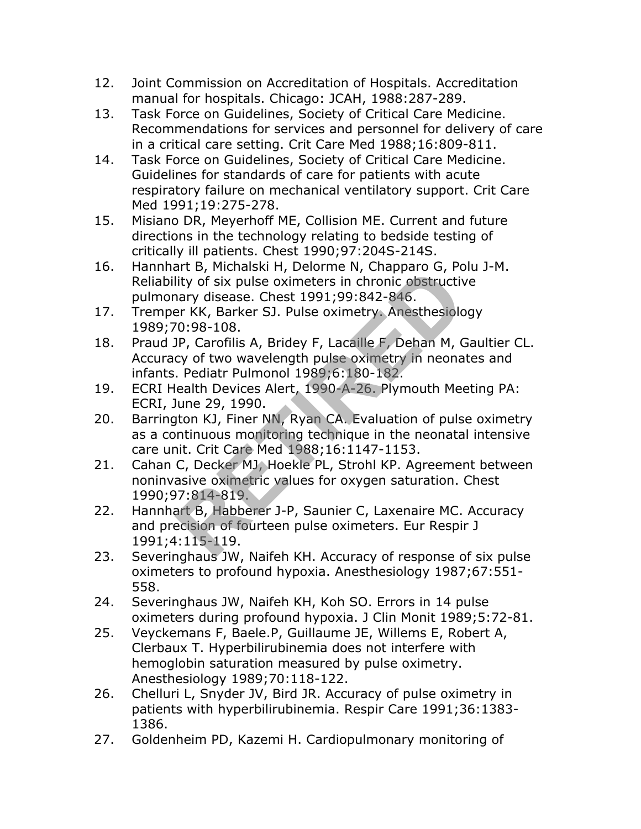- 12. Joint Commission on Accreditation of Hospitals. Accreditation manual for hospitals. Chicago: JCAH, 1988:287-289.
- 13. Task Force on Guidelines, Society of Critical Care Medicine. Recommendations for services and personnel for delivery of care in a critical care setting. Crit Care Med 1988;16:809-811.
- 14. Task Force on Guidelines, Society of Critical Care Medicine. Guidelines for standards of care for patients with acute respiratory failure on mechanical ventilatory support. Crit Care Med 1991;19:275-278.
- 15. Misiano DR, Meyerhoff ME, Collision ME. Current and future directions in the technology relating to bedside testing of critically ill patients. Chest 1990;97:204S-214S.
- 16. Hannhart B, Michalski H, Delorme N, Chapparo G, Polu J-M. Reliability of six pulse oximeters in chronic obstructive pulmonary disease. Chest 1991;99:842-846.
- 17. Tremper KK, Barker SJ. Pulse oximetry. Anesthesiology 1989;70:98-108.
- 18. Praud JP, Carofilis A, Bridey F, Lacaille F, Dehan M, Gaultier CL. Accuracy of two wavelength pulse oximetry in neonates and infants. Pediatr Pulmonol 1989;6:180-182.
- 19. ECRI Health Devices Alert, 1990-A-26. Plymouth Meeting PA: ECRI, June 29, 1990.
- 20. Barrington KJ, Finer NN, Ryan CA. Evaluation of pulse oximetry as a continuous monitoring technique in the neonatal intensive care unit. Crit Care Med 1988;16:1147-1153.
- 21. Cahan C, Decker MJ, Hoekle PL, Strohl KP. Agreement between noninvasive oximetric values for oxygen saturation. Chest 1990;97:814-819. Ity of six pulse oximeters in chronic obstructive<br>ity of six pulse oximeters in chronic obstructive<br>are KK, Barker SJ. Pulse oximetry. Anesthesiolo<br>0:98-108.<br>P, Carofilis A, Bridey F, Lacaille F, Dehan M, C<br>cy of two wavel
- 22. Hannhart B, Habberer J-P, Saunier C, Laxenaire MC. Accuracy and precision of fourteen pulse oximeters. Eur Respir J 1991;4:115-119.
- 23. Severinghaus JW, Naifeh KH. Accuracy of response of six pulse oximeters to profound hypoxia. Anesthesiology 1987;67:551- 558.
- 24. Severinghaus JW, Naifeh KH, Koh SO. Errors in 14 pulse oximeters during profound hypoxia. J Clin Monit 1989;5:72-81.
- 25. Veyckemans F, Baele.P, Guillaume JE, Willems E, Robert A, Clerbaux T. Hyperbilirubinemia does not interfere with hemoglobin saturation measured by pulse oximetry. Anesthesiology 1989;70:118-122.
- 26. Chelluri L, Snyder JV, Bird JR. Accuracy of pulse oximetry in patients with hyperbilirubinemia. Respir Care 1991;36:1383- 1386.
- 27. Goldenheim PD, Kazemi H. Cardiopulmonary monitoring of